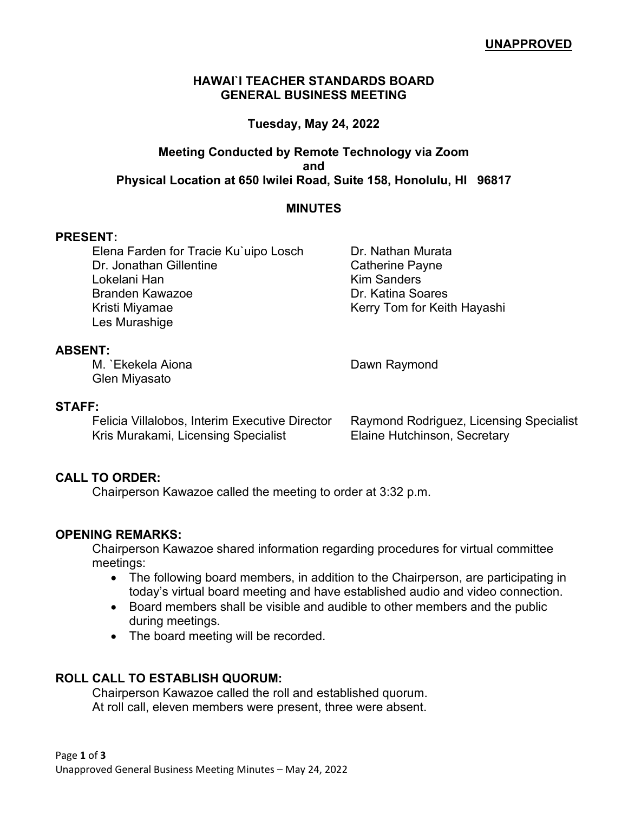#### **HAWAI`I TEACHER STANDARDS BOARD GENERAL BUSINESS MEETING**

# **Tuesday, May 24, 2022**

# **Meeting Conducted by Remote Technology via Zoom and Physical Location at 650 Iwilei Road, Suite 158, Honolulu, HI 96817**

### **MINUTES**

#### **PRESENT:**

Elena Farden for Tracie Ku`uipo Losch Dr. Nathan Murata Dr. Jonathan Gillentine Catherine Payne Lokelani Han Kim Sanders Branden Kawazoe **Dr. Katina Soares** Kristi Miyamae Kerry Tom for Keith Hayashi Les Murashige

### **ABSENT:**

M. `Ekekela Aiona **Dawn Raymond** Glen Miyasato

#### **STAFF:**

Felicia Villalobos, Interim Executive Director Raymond Rodriguez, Licensing Specialist Kris Murakami, Licensing Specialist Elaine Hutchinson, Secretary

### **CALL TO ORDER:**

Chairperson Kawazoe called the meeting to order at 3:32 p.m.

### **OPENING REMARKS:**

Chairperson Kawazoe shared information regarding procedures for virtual committee meetings:

- The following board members, in addition to the Chairperson, are participating in today's virtual board meeting and have established audio and video connection.
- Board members shall be visible and audible to other members and the public during meetings.
- The board meeting will be recorded.

### **ROLL CALL TO ESTABLISH QUORUM:**

Chairperson Kawazoe called the roll and established quorum. At roll call, eleven members were present, three were absent.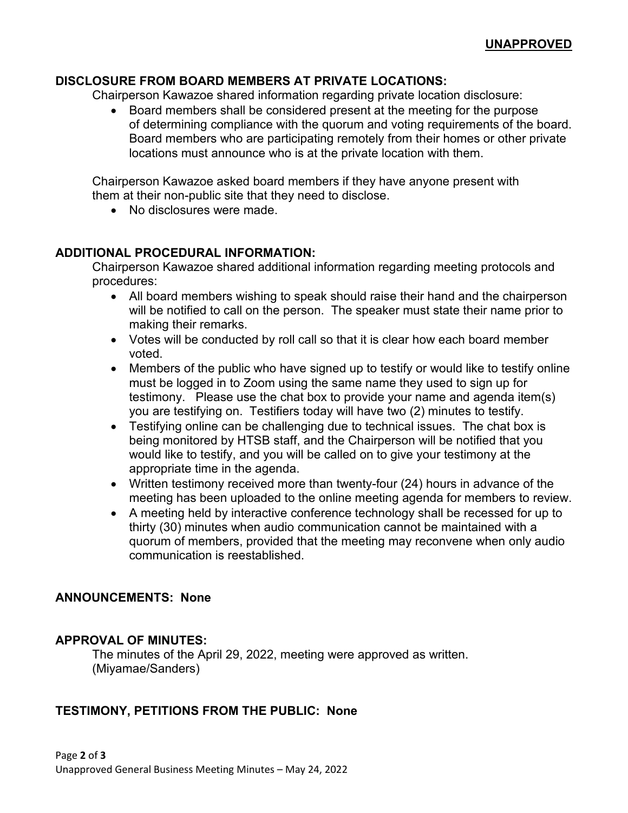# **DISCLOSURE FROM BOARD MEMBERS AT PRIVATE LOCATIONS:**

Chairperson Kawazoe shared information regarding private location disclosure:

• Board members shall be considered present at the meeting for the purpose of determining compliance with the quorum and voting requirements of the board. Board members who are participating remotely from their homes or other private locations must announce who is at the private location with them.

Chairperson Kawazoe asked board members if they have anyone present with them at their non-public site that they need to disclose.

• No disclosures were made.

### **ADDITIONAL PROCEDURAL INFORMATION:**

Chairperson Kawazoe shared additional information regarding meeting protocols and procedures:

- All board members wishing to speak should raise their hand and the chairperson will be notified to call on the person. The speaker must state their name prior to making their remarks.
- Votes will be conducted by roll call so that it is clear how each board member voted.
- Members of the public who have signed up to testify or would like to testify online must be logged in to Zoom using the same name they used to sign up for testimony. Please use the chat box to provide your name and agenda item(s) you are testifying on. Testifiers today will have two (2) minutes to testify.
- Testifying online can be challenging due to technical issues. The chat box is being monitored by HTSB staff, and the Chairperson will be notified that you would like to testify, and you will be called on to give your testimony at the appropriate time in the agenda.
- Written testimony received more than twenty-four (24) hours in advance of the meeting has been uploaded to the online meeting agenda for members to review.
- A meeting held by interactive conference technology shall be recessed for up to thirty (30) minutes when audio communication cannot be maintained with a quorum of members, provided that the meeting may reconvene when only audio communication is reestablished.

### **ANNOUNCEMENTS: None**

### **APPROVAL OF MINUTES:**

The minutes of the April 29, 2022, meeting were approved as written. (Miyamae/Sanders)

### **TESTIMONY, PETITIONS FROM THE PUBLIC: None**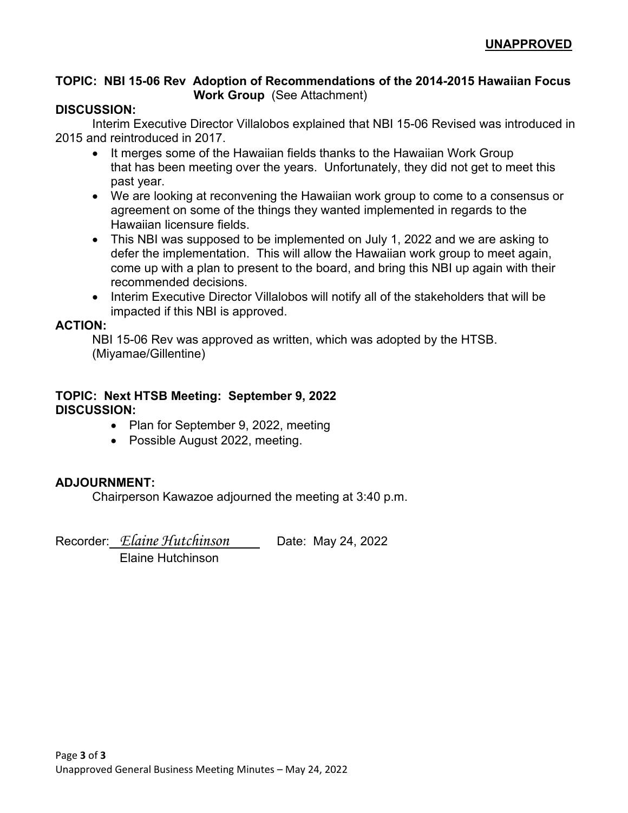### **TOPIC: NBI 15-06 Rev Adoption of Recommendations of the 2014-2015 Hawaiian Focus Work Group** (See Attachment)

### **DISCUSSION:**

Interim Executive Director Villalobos explained that NBI 15-06 Revised was introduced in 2015 and reintroduced in 2017.

- It merges some of the Hawaiian fields thanks to the Hawaiian Work Group that has been meeting over the years. Unfortunately, they did not get to meet this past year.
- We are looking at reconvening the Hawaiian work group to come to a consensus or agreement on some of the things they wanted implemented in regards to the Hawaiian licensure fields.
- This NBI was supposed to be implemented on July 1, 2022 and we are asking to defer the implementation. This will allow the Hawaiian work group to meet again, come up with a plan to present to the board, and bring this NBI up again with their recommended decisions.
- Interim Executive Director Villalobos will notify all of the stakeholders that will be impacted if this NBI is approved.

### **ACTION:**

NBI 15-06 Rev was approved as written, which was adopted by the HTSB. (Miyamae/Gillentine)

# **TOPIC: Next HTSB Meeting: September 9, 2022 DISCUSSION:**

- Plan for September 9, 2022, meeting
- Possible August 2022, meeting.

# **ADJOURNMENT:**

Chairperson Kawazoe adjourned the meeting at 3:40 p.m.

Recorder: *Elaine Hutchinson* \_ Date: May 24, 2022

Elaine Hutchinson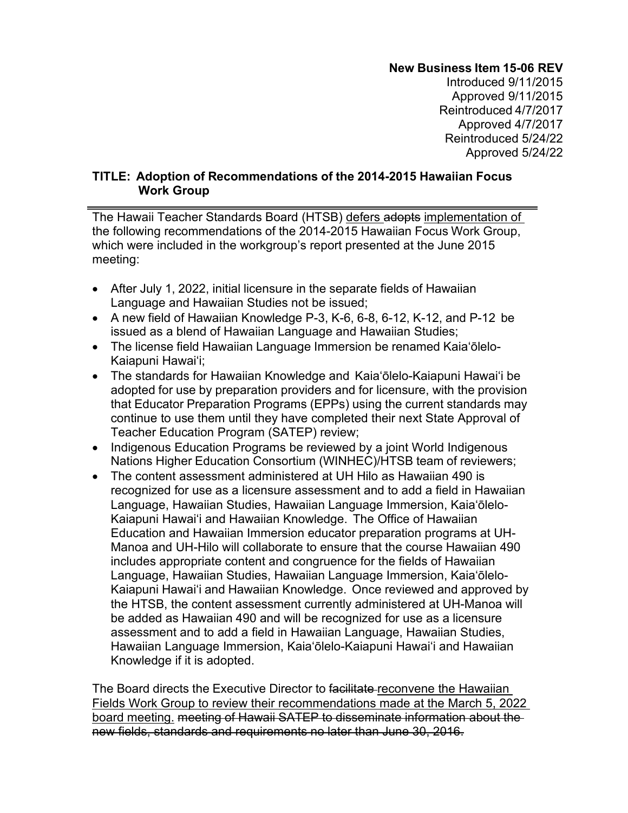# **New Business Item 15-06 REV**

Introduced 9/11/2015 Approved 9/11/2015 Reintroduced 4/7/2017 Approved 4/7/2017 Reintroduced 5/24/22 Approved 5/24/22

### **TITLE: Adoption of Recommendations of the 2014-2015 Hawaiian Focus Work Group**

The Hawaii Teacher Standards Board (HTSB) defers adopts implementation of the following recommendations of the 2014-2015 Hawaiian Focus Work Group, which were included in the workgroup's report presented at the June 2015 meeting:

- After July 1, 2022, initial licensure in the separate fields of Hawaiian Language and Hawaiian Studies not be issued;
- A new field of Hawaiian Knowledge P-3, K-6, 6-8, 6-12, K-12, and P-12 be issued as a blend of Hawaiian Language and Hawaiian Studies;
- The license field Hawaiian Language Immersion be renamed Kaiaʻōlelo-Kaiapuni Hawaiʻi;
- The standards for Hawaiian Knowledge and Kaiaʻōlelo-Kaiapuni Hawaiʻi be adopted for use by preparation providers and for licensure, with the provision that Educator Preparation Programs (EPPs) using the current standards may continue to use them until they have completed their next State Approval of Teacher Education Program (SATEP) review;
- Indigenous Education Programs be reviewed by a joint World Indigenous Nations Higher Education Consortium (WINHEC)/HTSB team of reviewers;
- The content assessment administered at UH Hilo as Hawaiian 490 is recognized for use as a licensure assessment and to add a field in Hawaiian Language, Hawaiian Studies, Hawaiian Language Immersion, Kaiaʻōlelo-Kaiapuni Hawaiʻi and Hawaiian Knowledge. The Office of Hawaiian Education and Hawaiian Immersion educator preparation programs at UH-Manoa and UH-Hilo will collaborate to ensure that the course Hawaiian 490 includes appropriate content and congruence for the fields of Hawaiian Language, Hawaiian Studies, Hawaiian Language Immersion, Kaiaʻōlelo-Kaiapuni Hawaiʻi and Hawaiian Knowledge. Once reviewed and approved by the HTSB, the content assessment currently administered at UH-Manoa will be added as Hawaiian 490 and will be recognized for use as a licensure assessment and to add a field in Hawaiian Language, Hawaiian Studies, Hawaiian Language Immersion, Kaiaʻōlelo-Kaiapuni Hawaiʻi and Hawaiian Knowledge if it is adopted.

The Board directs the Executive Director to facilitate reconvene the Hawaiian Fields Work Group to review their recommendations made at the March 5, 2022 board meeting. meeting of Hawaii SATEP to disseminate information about the new fields, standards and requirements no later than June 30, 2016.